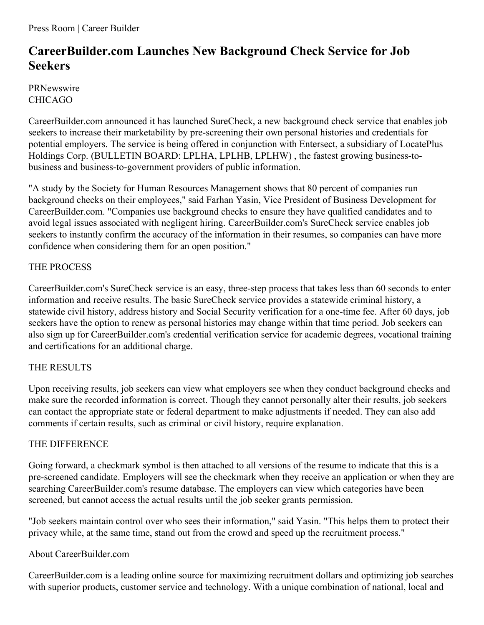Press Room | Career Builder

# **CareerBuilder.com Launches New Background Check Service for Job Seekers**

PRNewswire CHICAGO

CareerBuilder.com announced it has launched SureCheck, a new background check service that enables job seekers to increase their marketability by pre-screening their own personal histories and credentials for potential employers. The service is being offered in conjunction with Entersect, a subsidiary of LocatePlus Holdings Corp. (BULLETIN BOARD: LPLHA, LPLHB, LPLHW) , the fastest growing business-tobusiness and business-to-government providers of public information.

"A study by the Society for Human Resources Management shows that 80 percent of companies run background checks on their employees," said Farhan Yasin, Vice President of Business Development for CareerBuilder.com. "Companies use background checks to ensure they have qualified candidates and to avoid legal issues associated with negligent hiring. CareerBuilder.com's SureCheck service enables job seekers to instantly confirm the accuracy of the information in their resumes, so companies can have more confidence when considering them for an open position."

## THE PROCESS

CareerBuilder.com's SureCheck service is an easy, three-step process that takes less than 60 seconds to enter information and receive results. The basic SureCheck service provides a statewide criminal history, a statewide civil history, address history and Social Security verification for a one-time fee. After 60 days, job seekers have the option to renew as personal histories may change within that time period. Job seekers can also sign up for CareerBuilder.com's credential verification service for academic degrees, vocational training and certifications for an additional charge.

## THE RESULTS

Upon receiving results, job seekers can view what employers see when they conduct background checks and make sure the recorded information is correct. Though they cannot personally alter their results, job seekers can contact the appropriate state or federal department to make adjustments if needed. They can also add comments if certain results, such as criminal or civil history, require explanation.

## THE DIFFERENCE

Going forward, a checkmark symbol is then attached to all versions of the resume to indicate that this is a pre-screened candidate. Employers will see the checkmark when they receive an application or when they are searching CareerBuilder.com's resume database. The employers can view which categories have been screened, but cannot access the actual results until the job seeker grants permission.

"Job seekers maintain control over who sees their information," said Yasin. "This helps them to protect their privacy while, at the same time, stand out from the crowd and speed up the recruitment process."

### About CareerBuilder.com

CareerBuilder.com is a leading online source for maximizing recruitment dollars and optimizing job searches with superior products, customer service and technology. With a unique combination of national, local and